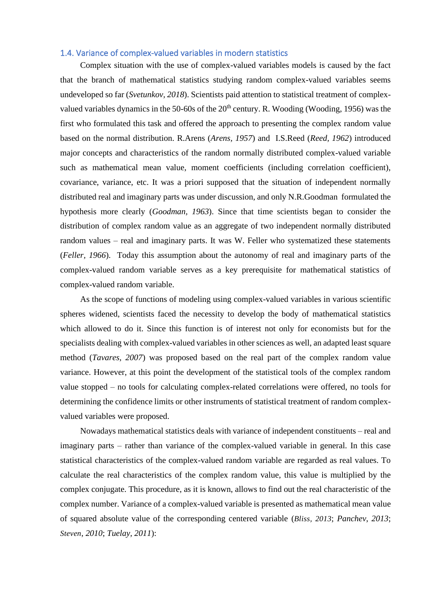## 1.4. Variance of complex-valued variables in modern statistics

Complex situation with the use of complex-valued variables models is caused by the fact that the branch of mathematical statistics studying random complex-valued variables seems undeveloped so far (*Svetunkov, 2018*). Scientists paid attention to statistical treatment of complexvalued variables dynamics in the 50-60s of the  $20<sup>th</sup>$  century. R. Wooding (Wooding, 1956) was the first who formulated this task and offered the approach to presenting the complex random value based on the normal distribution. R.Arens (*Arens, 1957*) and I.S.Reed (*Reed, 1962*) introduced major concepts and characteristics of the random normally distributed complex-valued variable such as mathematical mean value, moment coefficients (including correlation coefficient), covariance, variance, etc. It was a priori supposed that the situation of independent normally distributed real and imaginary parts was under discussion, and only N.R.Goodman formulated the hypothesis more clearly (*Goodman, 1963*). Since that time scientists began to consider the distribution of complex random value as an aggregate of two independent normally distributed random values – real and imaginary parts. It was W. Feller who systematized these statements (*Feller, 1966*). Today this assumption about the autonomy of real and imaginary parts of the complex-valued random variable serves as a key prerequisite for mathematical statistics of complex-valued random variable.

As the scope of functions of modeling using complex-valued variables in various scientific spheres widened, scientists faced the necessity to develop the body of mathematical statistics which allowed to do it. Since this function is of interest not only for economists but for the specialists dealing with complex-valued variables in other sciences as well, an adapted least square method (*Tavares, 2007*) was proposed based on the real part of the complex random value variance. However, at this point the development of the statistical tools of the complex random value stopped – no tools for calculating complex-related correlations were offered, no tools for determining the confidence limits or other instruments of statistical treatment of random complexvalued variables were proposed.

Nowadays mathematical statistics deals with variance of independent constituents – real and imaginary parts – rather than variance of the complex-valued variable in general. In this case statistical characteristics of the complex-valued random variable are regarded as real values. To calculate the real characteristics of the complex random value, this value is multiplied by the complex conjugate. This procedure, as it is known, allows to find out the real characteristic of the complex number. Variance of a complex-valued variable is presented as mathematical mean value of squared absolute value of the corresponding centered variable (*Bliss, 2013*; *Panchev*, *2013*; *Steven*, *2010*; *Tuelay, 2011*):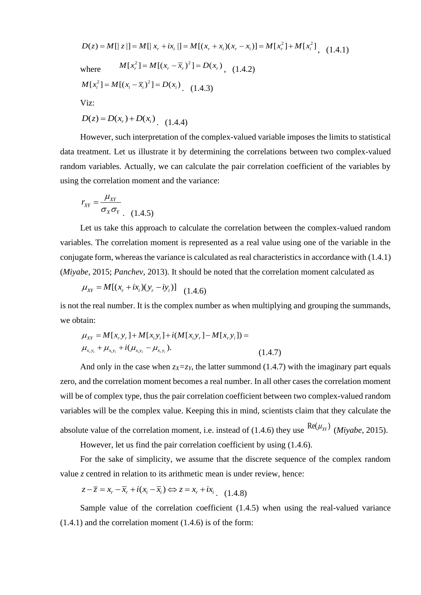$D(z) = M[|z|] = M[|x_r + ix_i|] = M[(x_r + x_i)(x_r - x_i)] = M[x_r^2] + M[x_i^2]$ , (1.4.1) where  $M[x_r^2] = M[(x_r - \overline{x}_r)^2] = D(x_r)$ , (1.4.2)  $M[x_i^2] = M[(x_i - \overline{x}_i)^2] = D(x_i)$  (1.4.3) Viz:

 $D(z) = D(x_r) + D(x_i)$  (1.4.4)

However, such interpretation of the complex-valued variable imposes the limits to statistical data treatment. Let us illustrate it by determining the correlations between two complex-valued random variables. Actually, we can calculate the pair correlation coefficient of the variables by using the correlation moment and the variance:

$$
r_{XY} = \frac{\mu_{XY}}{\sigma_X \sigma_Y} \tag{1.4.5}
$$

Let us take this approach to calculate the correlation between the complex-valued random variables. The correlation moment is represented as a real value using one of the variable in the conjugate form, whereas the variance is calculated as real characteristics in accordance with (1.4.1) (*Miyabe*, 2015; *Panchev*, 2013). It should be noted that the correlation moment calculated as

$$
\mu_{XY} = M[(x_r + ix_i)(y_r - iy_i)] \quad (1.4.6)
$$

is not the real number. It is the complex number as when multiplying and grouping the summands, we obtain:

$$
\begin{aligned} \text{train:} \\ \mu_{XY} &= M[x, y_r] + M[x_i y_i] + i(M[x_i y_r] - M[x_r y_i]) = \\ \mu_{x_r y_i} + \mu_{x_i y_i} + i(\mu_{x_i y_r} - \mu_{x_r y_i}). \end{aligned} \tag{1.4.7}
$$

And only in the case when  $z_x = z_y$ , the latter summond (1.4.7) with the imaginary part equals zero, and the correlation moment becomes a real number. In all other cases the correlation moment will be of complex type, thus the pair correlation coefficient between two complex-valued random variables will be the complex value. Keeping this in mind, scientists claim that they calculate the absolute value of the correlation moment, i.e. instead of (1.4.6) they use  $\frac{\text{Re}(\mu_{XY})}{Miyabe}$ , 2015).

However, let us find the pair correlation coefficient by using (1.4.6).

For the sake of simplicity, we assume that the discrete sequence of the complex random value *z* centred in relation to its arithmetic mean is under review, hence:

 $z$  centred in relation to its arithmetic mean is und<br> $z - \overline{z} = x_r - \overline{x}_r + i(x_i - \overline{x}_i) \Leftrightarrow z = x_r + ix_i$  (1.4.8)

Sample value of the correlation coefficient (1.4.5) when using the real-valued variance (1.4.1) and the correlation moment (1.4.6) is of the form: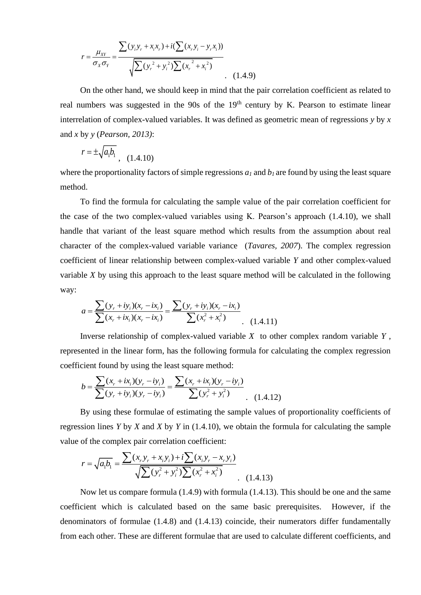$$
r = \frac{\mu_{XY}}{\sigma_X \sigma_Y} = \frac{\sum (y_i y_r + x_i x_r) + i(\sum (x_r y_i - y_r x_i))}{\sqrt{\sum (y_r^2 + y_i^2) \sum (x_r^2 + x_i^2)}}
$$
(1.4.9)

On the other hand, we should keep in mind that the pair correlation coefficient as related to real numbers was suggested in the 90s of the 19<sup>th</sup> century by K. Pearson to estimate linear interrelation of complex-valued variables. It was defined as geometric mean of regressions *y* by *x*  and *x* by *y* (*Pearson, 2013)*:

$$
r = \pm \sqrt{a_1 b_1} \,, \quad (1.4.10)
$$

where the proportionality factors of simple regressions  $a_l$  and  $b_l$  are found by using the least square method.

To find the formula for calculating the sample value of the pair correlation coefficient for the case of the two complex-valued variables using K. Pearson's approach (1.4.10), we shall handle that variant of the least square method which results from the assumption about real character of the complex-valued variable variance (*Tavares, 2007*). The complex regression coefficient of linear relationship between complex-valued variable *Y* and other complex-valued variable *X* by using this approach to the least square method will be calculated in the following way: by using this approach to the least<br> $\sum (y_r + iy_i)(x_r - ix_i) = \frac{\sum (y_r + iy_i)}{\sum (x_r + iy_i)(x_r - ix_i)}$ 

$$
a = \frac{\sum (y_r + iy_i)(x_r - ix_i)}{\sum (x_r + ix_i)(x_r - ix_i)} = \frac{\sum (y_r + iy_i)(x_r - ix_i)}{\sum (x_r^2 + x_i^2)}
$$
(1.4.11)

Inverse relationship of complex-valued variable *X* to other complex random variable *Y* , represented in the linear form, has the following formula for calculating the complex regression example of the integral of the least square me<br>=  $\frac{\sum (x_r + ix_i)(y_r - iy_i)}{\sum (y_r + iy_i)(y_r - iy_i)} = \frac{\sum (x_r + ix_i)(y_r - iy_i)}{\sum (y_i^2 + iy_i)(y_i - iy_i)}$ 

coefficient found by using the least square method:  
\n
$$
b = \frac{\sum (x_r + ix_i)(y_r - iy_i)}{\sum (y_r + iy_i)(y_r - iy_i)} = \frac{\sum (x_r + ix_i)(y_r - iy_i)}{\sum (y_r^2 + y_i^2)}
$$
\n(1.4.12)

By using these formulae of estimating the sample values of proportionality coefficients of regression lines *Y* by *X* and *X* by *Y* in (1.4.10), we obtain the formula for calculating the sample value of the complex pair correlation coefficient:<br>  $r = \sqrt{a_1b_1} = \frac{\sum (x_1y_1 + x_1y_1) + i\sum (x_1y_1 - x_1y_1)}{\sqrt{2(a_1b_1 - a_1b_1)^2 + a_1^2b_1^2 + a_1^2b_1^2}}$ 

$$
r = \sqrt{a_1 b_1} = \frac{\sum (x_r y_r + x_i y_i) + i \sum (x_i y_r - x_r y_i)}{\sqrt{\sum (y_r^2 + y_i^2) \sum (x_r^2 + x_i^2)}}
$$
(1.4.13)

Now let us compare formula (1.4.9) with formula (1.4.13). This should be one and the same coefficient which is calculated based on the same basic prerequisites. However, if the denominators of formulae (1.4.8) and (1.4.13) coincide, their numerators differ fundamentally from each other. These are different formulae that are used to calculate different coefficients, and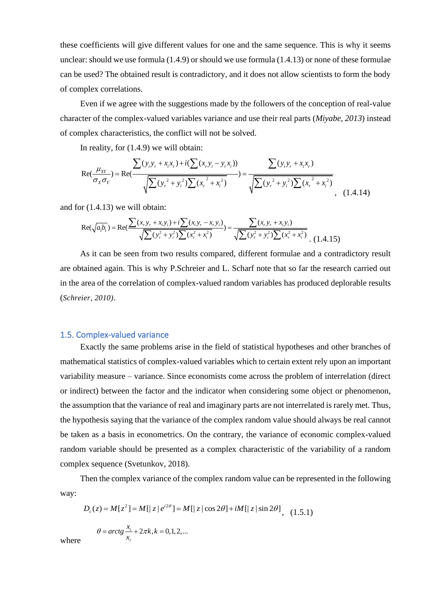these coefficients will give different values for one and the same sequence. This is why it seems unclear: should we use formula (1.4.9) or should we use formula (1.4.13) or none of these formulae can be used? The obtained result is contradictory, and it does not allow scientists to form the body of complex correlations.

Even if we agree with the suggestions made by the followers of the conception of real-value character of the complex-valued variables variance and use their real parts (*Miyabe*, 2013) instead<br>of complex characteristics, the conflict will not be solved.<br>In reality, for (1.4.9) we will obtain:<br> $\sum (y_i y_r + x_i x_r) + i(\sum ($ of complex characteristics, the conflict will not be solved.

mplex characteristics, the conflict will not be solved.  
\nIn reality, for (1.4.9) we will obtain:  
\n
$$
Re(\frac{\mu_{XY}}{\sigma_X \sigma_Y}) = Re(\frac{\sum (y_i y_r + x_i x_r) + i(\sum (x_r y_i - y_r x_i))}{\sqrt{\sum (y_r^2 + y_i^2) \sum (x_r^2 + x_i^2)}}) = \frac{\sum (y_i y_r + x_i x_r)}{\sqrt{\sum (y_r^2 + y_i^2) \sum (x_r^2 + x_i^2)}}
$$
\n
$$
Pr(1.4.13) \text{ we will obtain:}
$$
\n
$$
Re(\sqrt{a_1 b_1}) = Re(\frac{\sum (x_r y_r + x_i y_i) + i \sum (x_i y_r - x_r y_i)}{\sqrt{\sum (y_r^2 + y_r^2) \sum (x_r^2 + x_i^2)}}) = \frac{\sum (x_r y_r + x_i y_i)}{\sqrt{\sum (y_r^2 + y_r^2) \sum (x_r^2 + x_i^2)}}
$$
\n(1.4.14)

and for (1.4.13) we will obtain:  
\n
$$
Re(\sqrt{a_1b_1}) = Re(\frac{\sum (x_1y_1 + x_1y_1) + i\sum (x_1y_1 - x_1y_1)}{\sqrt{\sum (y_1^2 + y_1^2)\sum (x_1^2 + x_1^2)}}) = \frac{\sum (x_1y_1 + x_1y_1)}{\sqrt{\sum (y_1^2 + y_1^2)\sum (x_1^2 + x_1^2)}} (1.4.15)
$$

As it can be seen from two results compared, different formulae and a contradictory result are obtained again. This is why P.Schreier and L. Scharf note that so far the research carried out in the area of the correlation of complex-valued random variables has produced deplorable results (*Schreier, 2010)*.

## 1.5. Complex-valued variance

Exactly the same problems arise in the field of statistical hypotheses and other branches of mathematical statistics of complex-valued variables which to certain extent rely upon an important variability measure – variance. Since economists come across the problem of interrelation (direct or indirect) between the factor and the indicator when considering some object or phenomenon, the assumption that the variance of real and imaginary parts are not interrelated is rarely met. Thus, the hypothesis saying that the variance of the complex random value should always be real cannot be taken as a basis in econometrics. On the contrary, the variance of economic complex-valued random variable should be presented as a complex characteristic of the variability of a random complex sequence (Svetunkov, 2018).

Then the complex variance of the complex random value can be represented in the following way: =  $M[z^2] = M[|z|e^{i2\theta}] = M[|z|\cos 2\theta] + iM[|z|\sin 2\theta]$ , (1.5.

$$
D_c(z) = M[z^2] = M[|z|e^{i2\theta}] = M[|z|\cos 2\theta] + iM[|z|\sin 2\theta], \quad (1.5.1)
$$
  

$$
\theta = \arctg \frac{x_i}{x_r} + 2\pi k, k = 0, 1, 2, ...
$$

where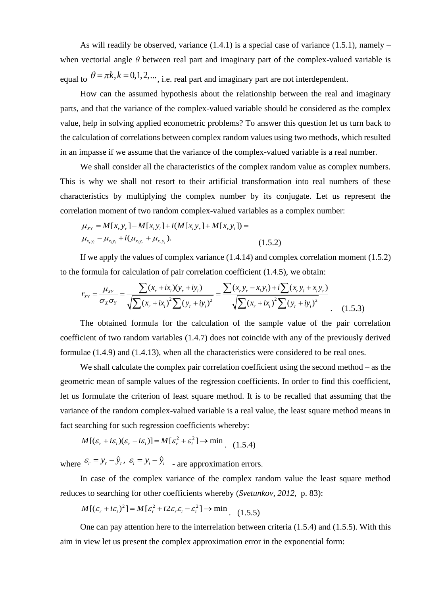As will readily be observed, variance  $(1.4.1)$  is a special case of variance  $(1.5.1)$ , namely – when vectorial angle  $\theta$  between real part and imaginary part of the complex-valued variable is equal to  $\theta = \pi k$ ,  $k = 0, 1, 2, \dots$ , i.e. real part and imaginary part are not interdependent.

How can the assumed hypothesis about the relationship between the real and imaginary parts, and that the variance of the complex-valued variable should be considered as the complex value, help in solving applied econometric problems? To answer this question let us turn back to the calculation of correlations between complex random values using two methods, which resulted in an impasse if we assume that the variance of the complex-valued variable is a real number.

We shall consider all the characteristics of the complex random value as complex numbers. This is why we shall not resort to their artificial transformation into real numbers of these characteristics by multiplying the complex number by its conjugate. Let us represent the correlation moment of two random complex-valued variables as a complex number:<br>  $\mu_{XY} = M[x, y,]-M[x, y] + i(M[x, y,]+M[x, y]) =$ 

$$
\mu_{XY} = M[x_r y_r] - M[x_i y_i] + i(M[x_i y_r] + M[x_r y_i]) =
$$
  

$$
\mu_{x_r y_i} - \mu_{x_i y_i} + i(\mu_{x_i y_r} + \mu_{x_r y_i}).
$$
 (1.5.2)

If we apply the values of complex variance (1.4.14) and complex correlation moment (1.5.2) to the formula for calculation of pair correlation coefficient (1.4.5), we obtain: the set of complex variance (1.4.14) and complex correlation<br>
(ion of pair correlation coefficient (1.4.5), we obtain:<br>  $\frac{(x_r + ix_i)(y_r + iy_i)}{T} = \frac{\sum (x_r y_r - x_i y_i) + i \sum (x_r y_i + x_i y_r)}{T}$ of complex variance (1.4.14) and complex correlation mo<br>
of pair correlation coefficient (1.4.5), we obtain:<br>  $+i x_i y_j + i y_i y_j = \frac{\sum (x_i y_i - x_i y_i) + i \sum (x_i y_i + x_i y_j)}{\sum (x_i y_i - x_i y_j)}$ (1.5.2)<br>
alues of complex variance (1.4.14) and complex correlation m<br>
alation of pair correlation coefficient (1.4.5), we obtain:<br>  $\frac{\sum (x_r + ix_i)(y_r + iy_i)}{\sum (x_r + ix_i)(y_r + iy_i)} = \frac{\sum (x_r y_r - x_i y_i) + i \sum (x_r y_i + x_i y_r)}{\sum (x_r + iy_i)^2 \sum (y_r + iy_i)^2}$ 

It we apply the values of complex variance (1.4.14) and complex correlation moment  
formula for calculation of pair correlation coefficient (1.4.5), we obtain:  

$$
r_{XY} = \frac{\mu_{XY}}{\sigma_X \sigma_Y} = \frac{\sum (x_r + ix_i)(y_r + iy_i)}{\sqrt{\sum (x_r + ix_i)^2 \sum (y_r + iy_i)^2}} = \frac{\sum (x_r y_r - x_i y_i) + i \sum (x_r y_i + x_i y_r)}{\sqrt{\sum (x_r + ix_i)^2 \sum (y_r + iy_i)^2}}
$$
(1.5.3)

The obtained formula for the calculation of the sample value of the pair correlation coefficient of two random variables (1.4.7) does not coincide with any of the previously derived formulae (1.4.9) and (1.4.13), when all the characteristics were considered to be real ones.

We shall calculate the complex pair correlation coefficient using the second method – as the geometric mean of sample values of the regression coefficients. In order to find this coefficient, let us formulate the criterion of least square method. It is to be recalled that assuming that the variance of the random complex-valued variable is a real value, the least square method means in

fact searching for such regression coefficients whereby:  
\n
$$
M[(\varepsilon_r + i\varepsilon_i)(\varepsilon_r - i\varepsilon_i)] = M[\varepsilon_r^2 + \varepsilon_i^2] \to \min_{(1.5.4)}
$$

where  $\varepsilon_r = y_r - \hat{y}_r$ ,  $\varepsilon_i = y_i - \hat{y}_i$  - are approximation errors.

In case of the complex variance of the complex random value the least square method reduces to searching for other coefficients whereby (*Svetunkov*, 2012, p. 83):<br>  $M[(\varepsilon_r + i\varepsilon_i)^2] = M[\varepsilon_r^2 + i2\varepsilon_r \varepsilon_i - \varepsilon_i^2] \rightarrow \min$  (1.5.5)

$$
M[(\varepsilon_r + i\varepsilon_i)^2] = M[\varepsilon_r^2 + i2\varepsilon_r \varepsilon_i - \varepsilon_i^2] \to \min_{(1.5.5)}
$$

One can pay attention here to the interrelation between criteria (1.5.4) and (1.5.5). With this aim in view let us present the complex approximation error in the exponential form: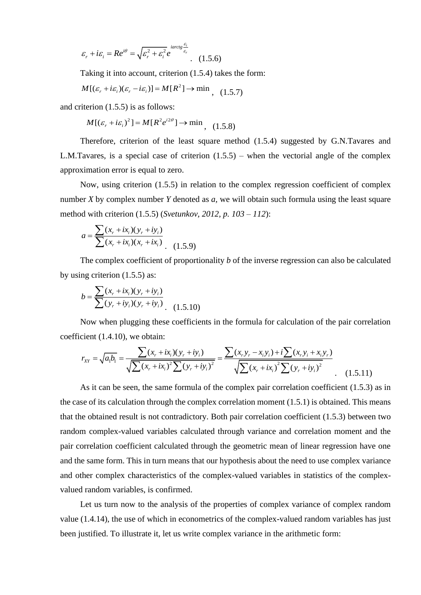$$
\varepsilon_r + i\varepsilon_i = Re^{i\theta} = \sqrt{\varepsilon_r^2 + \varepsilon_i^2} e^{i \arctg \frac{\varepsilon_i}{\varepsilon_r}}.
$$
 (1.5.6)

Taking it into account, criterion (1.5.4) takes the form:<br> $M[(\varepsilon_r + i\varepsilon_i)(\varepsilon_r - i\varepsilon_i)] = M[R^2] \rightarrow \min_{\text{max}} (1.5.7)$ 

$$
M[(\varepsilon_r + i\varepsilon_i)(\varepsilon_r - i\varepsilon_i)] = M[R^2] \to \min_{(1,5,7)}
$$

and criterion (1.5.5) is as follows:

$$
M[(\varepsilon_r + i\varepsilon_i)^2] = M[R^2 e^{i2\theta}] \rightarrow \min_{\gamma} (1.5.8)
$$

Therefore, criterion of the least square method (1.5.4) suggested by G.N.Tavares and L.M.Tavares, is a special case of criterion  $(1.5.5)$  – when the vectorial angle of the complex approximation error is equal to zero.

Now, using criterion (1.5.5) in relation to the complex regression coefficient of complex number *X* by complex number *Y* denoted as *a,* we will obtain such formula using the least square method with criterion (1.5.5) (*Svetunkov, 2012, p. 103 – 112*):

$$
a = \frac{\sum (x_r + ix_i)(y_r + iy_i)}{\sum (x_r + ix_i)(x_r + ix_i)}.
$$
 (1.5.9)

The complex coefficient of proportionality *b* of the inverse regression can also be calculated by using criterion (1.5.5) as:

$$
b = \frac{\sum (x_r + ix_i)(y_r + iy_i)}{\sum (y_r + iy_i)(y_r + iy_i)}.
$$
 (1.5.10)

Now when plugging these coefficients in the formula for calculation of the pair correlation cient (1.4.10), we obtain:<br>  $r_{XY} = \sqrt{a_1 b_1} = \frac{\sum (x_r + ix_i)(y_r + iy_i)}{\sqrt{\sum_{i=1}^n x_i y_i + x_i y_i}} = \frac{\sum (x_r y_r - x_i y_i) + i \sum (x_r y_i + x_i y_r)}{\sqrt{\sum_{i=1}^n x_i + x$ coefficient (1.4.10), we obtain:  $y_r + ty_i$ , (1.5.10)<br>
sing these coefficients in the formula for calculation of the pair<br>
be obtain:<br>  $\frac{\sum (x_r + ix_i)(y_r + iy_i)}{(x + ix_i)^2} = \frac{\sum (x_r y_r - x_i y_i) + i \sum (x_r y_i + x_i y_r)}{\sum (x_r + iy_i)^2}$ 

Now when plugging these coefficients in the formula for calculation of the pair correl  
cient (1.4.10), we obtain:  

$$
r_{XY} = \sqrt{a_1 b_1} = \frac{\sum (x_r + ix_i)(y_r + iy_i)}{\sqrt{\sum (x_r + ix_i)^2 \sum (y_r + iy_i)^2}} = \frac{\sum (x_r y_r - x_i y_i) + i \sum (x_r y_i + x_i y_r)}{\sqrt{\sum (x_r + ix_i)^2 \sum (y_r + iy_i)^2}}
$$
(1.5.11)

As it can be seen, the same formula of the complex pair correlation coefficient (1.5.3) as in the case of its calculation through the complex correlation moment  $(1.5.1)$  is obtained. This means that the obtained result is not contradictory. Both pair correlation coefficient (1.5.3) between two random complex-valued variables calculated through variance and correlation moment and the pair correlation coefficient calculated through the geometric mean of linear regression have one and the same form. This in turn means that our hypothesis about the need to use complex variance and other complex characteristics of the complex-valued variables in statistics of the complexvalued random variables, is confirmed.

Let us turn now to the analysis of the properties of complex variance of complex random value (1.4.14), the use of which in econometrics of the complex-valued random variables has just been justified. To illustrate it, let us write complex variance in the arithmetic form: